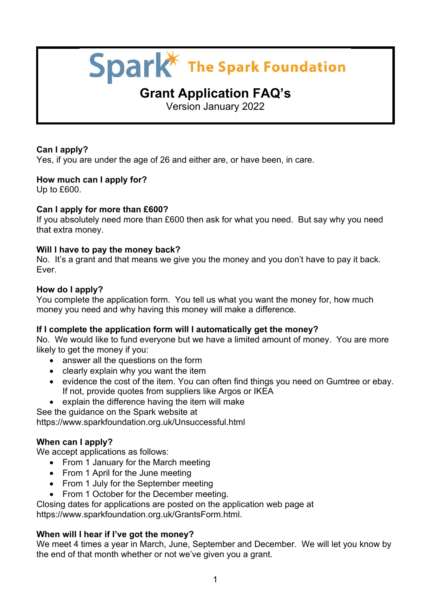# Spark<sup>\*</sup> The Spark Foundation

# **Grant Application FAQ's**

Version January 2022

# **Can I apply?**

Yes, if you are under the age of 26 and either are, or have been, in care.

# **How much can I apply for?**

Up to £600.

# **Can I apply for more than £600?**

If you absolutely need more than £600 then ask for what you need. But say why you need that extra money.

# **Will I have to pay the money back?**

No. It's a grant and that means we give you the money and you don't have to pay it back. Ever.

#### **How do I apply?**

You complete the application form. You tell us what you want the money for, how much money you need and why having this money will make a difference.

# **If I complete the application form will I automatically get the money?**

No. We would like to fund everyone but we have a limited amount of money. You are more likely to get the money if you:

- answer all the questions on the form
- clearly explain why you want the item
- evidence the cost of the item. You can often find things you need on Gumtree or ebay. If not, provide quotes from suppliers like Argos or IKEA
- explain the difference having the item will make
- See the guidance on the Spark website at

https://www.sparkfoundation.org.uk/Unsuccessful.html

# **When can I apply?**

We accept applications as follows:

- From 1 January for the March meeting
- From 1 April for the June meeting
- From 1 July for the September meeting
- From 1 October for the December meeting.

Closing dates for applications are posted on the application web page at

https://www.sparkfoundation.org.uk/GrantsForm.html.

# **When will I hear if I've got the money?**

We meet 4 times a year in March, June, September and December. We will let you know by the end of that month whether or not we've given you a grant.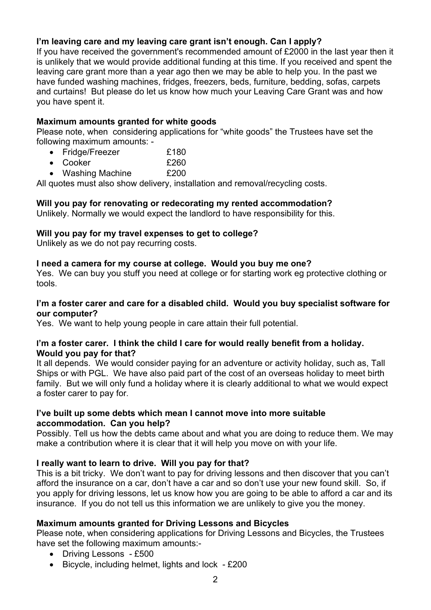# **I'm leaving care and my leaving care grant isn't enough. Can I apply?**

If you have received the government's recommended amount of £2000 in the last year then it is unlikely that we would provide additional funding at this time. If you received and spent the leaving care grant more than a year ago then we may be able to help you. In the past we have funded washing machines, fridges, freezers, beds, furniture, bedding, sofas, carpets and curtains! But please do let us know how much your Leaving Care Grant was and how you have spent it.

### **Maximum amounts granted for white goods**

Please note, when considering applications for "white goods" the Trustees have set the following maximum amounts: -

- Fridge/Freezer **£180**
- Cooker **£260**
- Washing Machine £200

All quotes must also show delivery, installation and removal/recycling costs.

#### **Will you pay for renovating or redecorating my rented accommodation?**

Unlikely. Normally we would expect the landlord to have responsibility for this.

#### **Will you pay for my travel expenses to get to college?**

Unlikely as we do not pay recurring costs.

#### **I need a camera for my course at college. Would you buy me one?**

Yes. We can buy you stuff you need at college or for starting work eg protective clothing or tools.

#### **I'm a foster carer and care for a disabled child. Would you buy specialist software for our computer?**

Yes. We want to help young people in care attain their full potential.

#### **I'm a foster carer. I think the child I care for would really benefit from a holiday. Would you pay for that?**

It all depends. We would consider paying for an adventure or activity holiday, such as, Tall Ships or with PGL. We have also paid part of the cost of an overseas holiday to meet birth family. But we will only fund a holiday where it is clearly additional to what we would expect a foster carer to pay for.

#### **I've built up some debts which mean I cannot move into more suitable accommodation. Can you help?**

Possibly. Tell us how the debts came about and what you are doing to reduce them. We may make a contribution where it is clear that it will help you move on with your life.

# **I really want to learn to drive. Will you pay for that?**

This is a bit tricky. We don't want to pay for driving lessons and then discover that you can't afford the insurance on a car, don't have a car and so don't use your new found skill. So, if you apply for driving lessons, let us know how you are going to be able to afford a car and its insurance. If you do not tell us this information we are unlikely to give you the money.

# **Maximum amounts granted for Driving Lessons and Bicycles**

Please note, when considering applications for Driving Lessons and Bicycles, the Trustees have set the following maximum amounts:-

- Driving Lessons £500
- Bicycle, including helmet, lights and lock £200